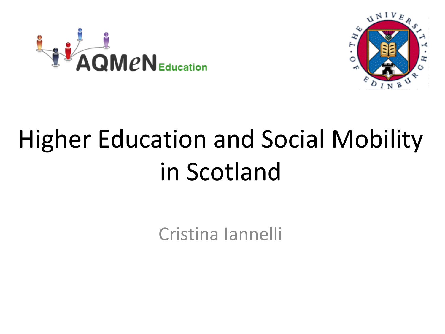



# Higher Education and Social Mobility in Scotland

Cristina Iannelli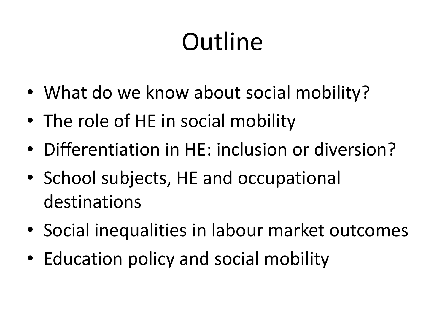# **Outline**

- What do we know about social mobility?
- The role of HE in social mobility
- Differentiation in HE: inclusion or diversion?
- School subjects, HE and occupational destinations
- Social inequalities in labour market outcomes
- Education policy and social mobility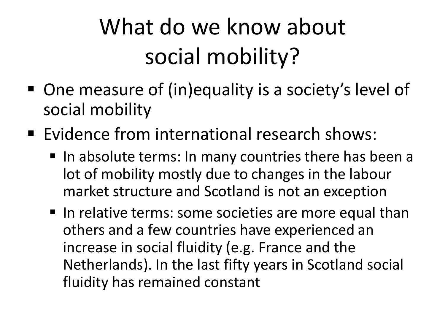## What do we know about social mobility?

- One measure of (in)equality is a society's level of social mobility
- **Evidence from international research shows:** 
	- In absolute terms: In many countries there has been a lot of mobility mostly due to changes in the labour market structure and Scotland is not an exception
	- I In relative terms: some societies are more equal than others and a few countries have experienced an increase in social fluidity (e.g. France and the Netherlands). In the last fifty years in Scotland social fluidity has remained constant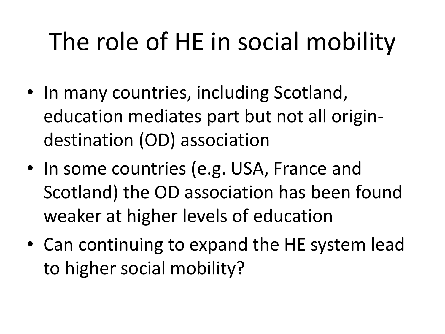## The role of HE in social mobility

- In many countries, including Scotland, education mediates part but not all origindestination (OD) association
- In some countries (e.g. USA, France and Scotland) the OD association has been found weaker at higher levels of education
- Can continuing to expand the HE system lead to higher social mobility?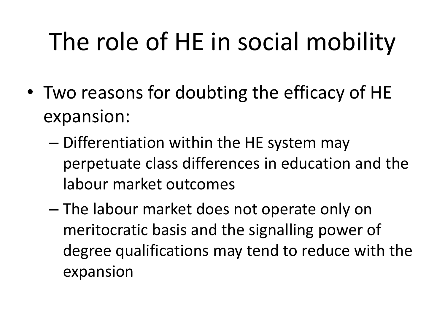# The role of HE in social mobility

- Two reasons for doubting the efficacy of HE expansion:
	- Differentiation within the HE system may perpetuate class differences in education and the labour market outcomes
	- The labour market does not operate only on meritocratic basis and the signalling power of degree qualifications may tend to reduce with the expansion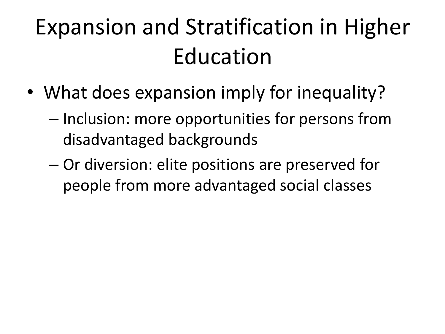### Expansion and Stratification in Higher Education

- What does expansion imply for inequality?
	- Inclusion: more opportunities for persons from disadvantaged backgrounds
	- Or diversion: elite positions are preserved for people from more advantaged social classes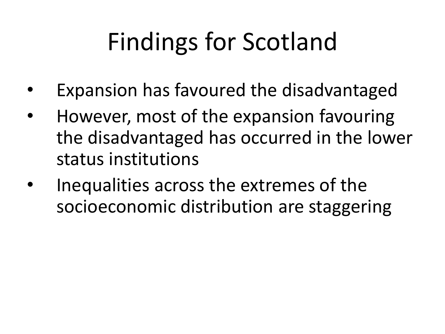# Findings for Scotland

- Expansion has favoured the disadvantaged
- However, most of the expansion favouring the disadvantaged has occurred in the lower status institutions
- Inequalities across the extremes of the socioeconomic distribution are staggering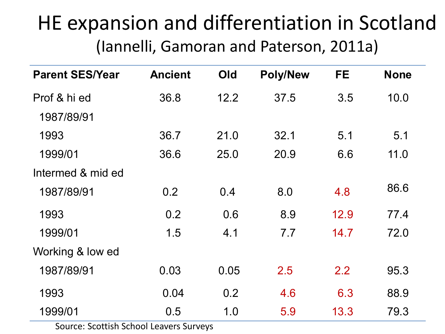#### HE expansion and differentiation in Scotland (Iannelli, Gamoran and Paterson, 2011a)

| <b>Parent SES/Year</b> | <b>Ancient</b> | Old  | <b>Poly/New</b> | <b>FE</b> | <b>None</b> |
|------------------------|----------------|------|-----------------|-----------|-------------|
| Prof & hi ed           | 36.8           | 12.2 | 37.5            | 3.5       | 10.0        |
| 1987/89/91             |                |      |                 |           |             |
| 1993                   | 36.7           | 21.0 | 32.1            | 5.1       | 5.1         |
| 1999/01                | 36.6           | 25.0 | 20.9            | 6.6       | 11.0        |
| Intermed & mid ed      |                |      |                 |           |             |
| 1987/89/91             | 0.2            | 0.4  | 8.0             | 4.8       | 86.6        |
| 1993                   | 0.2            | 0.6  | 8.9             | 12.9      | 77.4        |
| 1999/01                | 1.5            | 4.1  | 7.7             | 14.7      | 72.0        |
| Working & low ed       |                |      |                 |           |             |
| 1987/89/91             | 0.03           | 0.05 | 2.5             | 2.2       | 95.3        |
| 1993                   | 0.04           | 0.2  | 4.6             | 6.3       | 88.9        |
| 1999/01                | 0.5            | 1.0  | 5.9             | 13.3      | 79.3        |

Source: Scottish School Leavers Surveys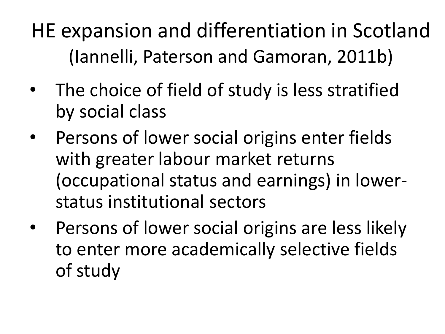HE expansion and differentiation in Scotland (Iannelli, Paterson and Gamoran, 2011b)

- The choice of field of study is less stratified by social class
- Persons of lower social origins enter fields with greater labour market returns (occupational status and earnings) in lowerstatus institutional sectors
- Persons of lower social origins are less likely to enter more academically selective fields of study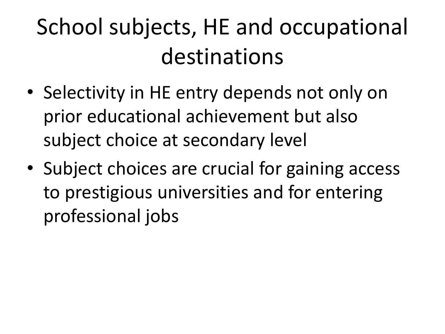## School subjects, HE and occupational destinations

- Selectivity in HE entry depends not only on prior educational achievement but also subject choice at secondary level
- Subject choices are crucial for gaining access to prestigious universities and for entering professional jobs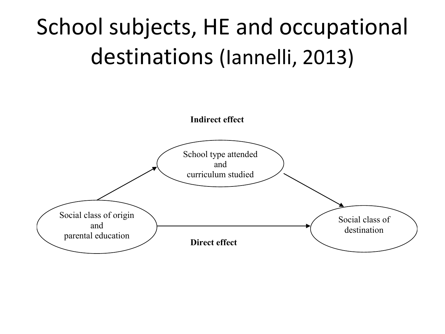#### School subjects, HE and occupational destinations (Iannelli, 2013)

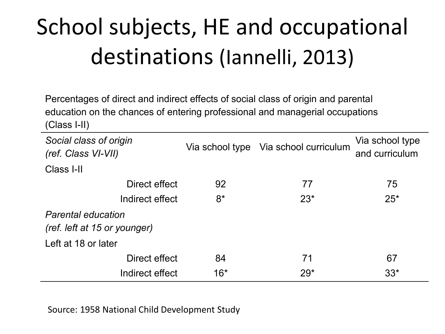## School subjects, HE and occupational destinations (Iannelli, 2013)

Percentages of direct and indirect effects of social class of origin and parental education on the chances of entering professional and managerial occupations (Class I-II)

| Social class of origin<br>(ref. Class VI-VII)             | Via school type | Via school curriculum | Via school type<br>and curriculum |  |  |  |
|-----------------------------------------------------------|-----------------|-----------------------|-----------------------------------|--|--|--|
| Class I-II                                                |                 |                       |                                   |  |  |  |
| Direct effect                                             | 92              | 77                    | 75                                |  |  |  |
| Indirect effect                                           | $8*$            | $23*$                 | $25*$                             |  |  |  |
| <b>Parental education</b><br>(ref. left at 15 or younger) |                 |                       |                                   |  |  |  |
| Left at 18 or later                                       |                 |                       |                                   |  |  |  |
| Direct effect                                             | 84              | 71                    | 67                                |  |  |  |
| Indirect effect                                           | $16*$           | $29*$                 | $33*$                             |  |  |  |

Source: 1958 National Child Development Study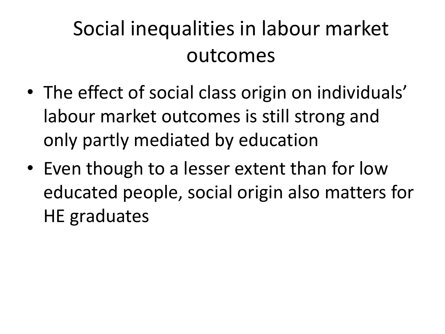#### Social inequalities in labour market outcomes

- The effect of social class origin on individuals' labour market outcomes is still strong and only partly mediated by education
- Even though to a lesser extent than for low educated people, social origin also matters for HE graduates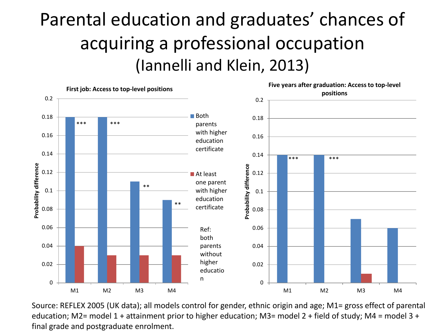#### Parental education and graduates' chances of acquiring a professional occupation (Iannelli and Klein, 2013)



Source: REFLEX 2005 (UK data); all models control for gender, ethnic origin and age; M1= gross effect of parental education; M2= model 1 + attainment prior to higher education; M3= model 2 + field of study; M4 = model 3 + final grade and postgraduate enrolment.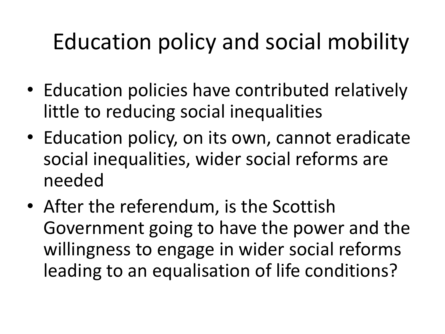#### Education policy and social mobility

- Education policies have contributed relatively little to reducing social inequalities
- Education policy, on its own, cannot eradicate social inequalities, wider social reforms are needed
- After the referendum, is the Scottish Government going to have the power and the willingness to engage in wider social reforms leading to an equalisation of life conditions?